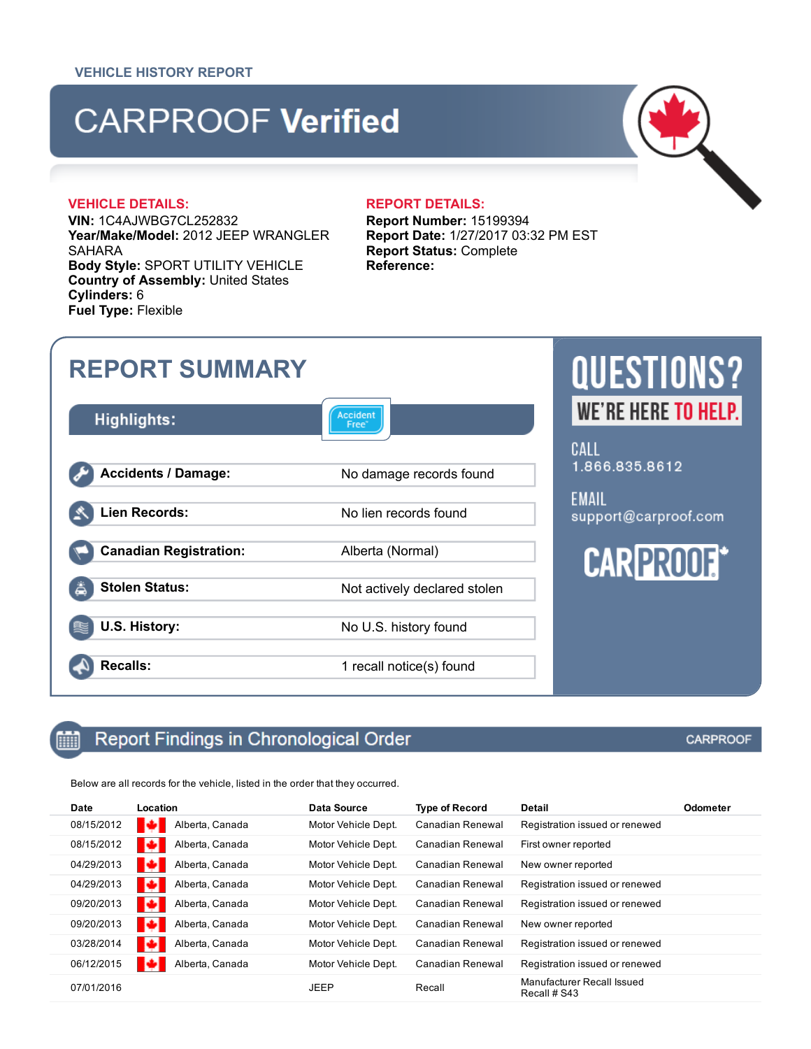# **CARPROOF Verified**

### VEHICLE DETAILS: REPORT DETAILS:

酾

VIN: 1C4AJWBG7CL252832 Year/Make/Model: 2012 JEEP WRANGLER SAHARA Body Style: SPORT UTILITY VEHICLE Country of Assembly: United States Cylinders: 6 Fuel Type: Flexible

Report Number: 15199394 Report Date: 1/27/2017 03:32 PM EST Report Status: Complete Reference:



### Report Findings in Chronological Order

Below are all records for the vehicle, listed in the order that they occurred.

| <b>Date</b> | Location             | <b>Data Source</b>  | <b>Type of Record</b> | <b>Detail</b>                              | <b>Odometer</b> |
|-------------|----------------------|---------------------|-----------------------|--------------------------------------------|-----------------|
| 08/15/2012  | Alberta, Canada      | Motor Vehicle Dept. | Canadian Renewal      | Registration issued or renewed             |                 |
| 08/15/2012  | Alberta, Canada      | Motor Vehicle Dept. | Canadian Renewal      | First owner reported                       |                 |
| 04/29/2013  | ю<br>Alberta, Canada | Motor Vehicle Dept. | Canadian Renewal      | New owner reported                         |                 |
| 04/29/2013  | Alberta, Canada<br>ю | Motor Vehicle Dept. | Canadian Renewal      | Registration issued or renewed             |                 |
| 09/20/2013  | Alberta, Canada<br>м | Motor Vehicle Dept. | Canadian Renewal      | Registration issued or renewed             |                 |
| 09/20/2013  | о<br>Alberta, Canada | Motor Vehicle Dept. | Canadian Renewal      | New owner reported                         |                 |
| 03/28/2014  | Alberta, Canada<br>ю | Motor Vehicle Dept. | Canadian Renewal      | Registration issued or renewed             |                 |
| 06/12/2015  | Alberta, Canada      | Motor Vehicle Dept. | Canadian Renewal      | Registration issued or renewed             |                 |
| 07/01/2016  |                      | <b>JEEP</b>         | Recall                | Manufacturer Recall Issued<br>Recall # S43 |                 |

### **CARPROOF**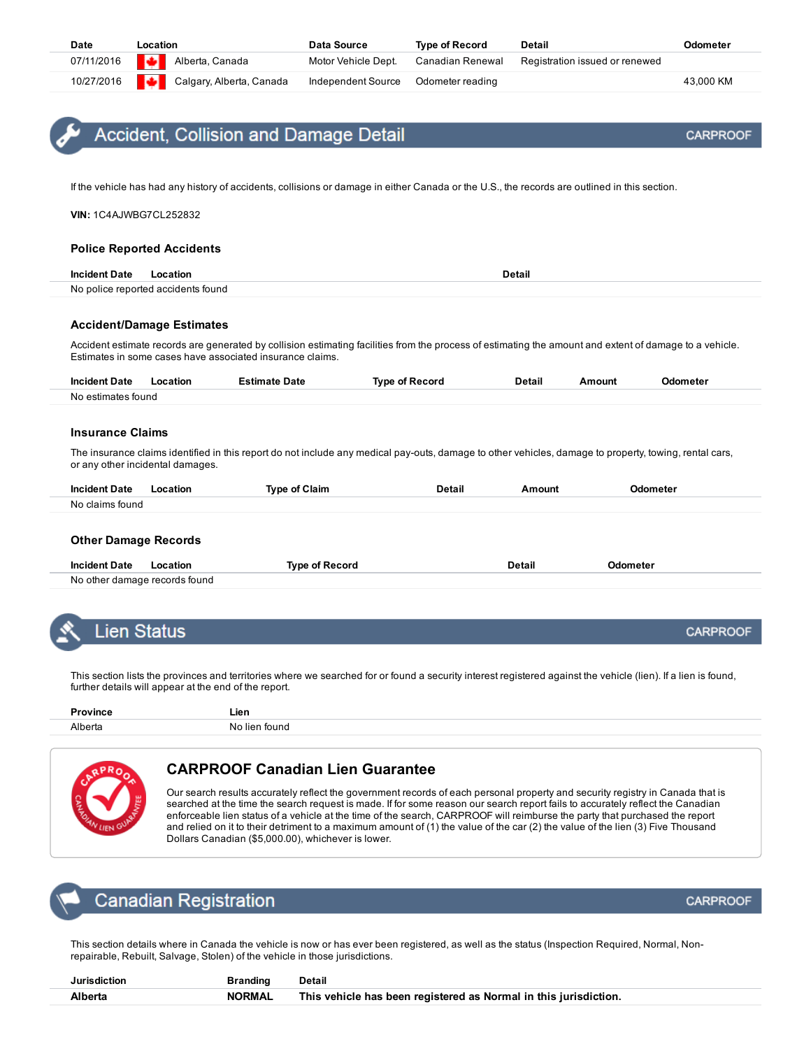<span id="page-1-0"></span>

|  | Accident, Collision and Damage Detai |  |  |  |  |
|--|--------------------------------------|--|--|--|--|
|--|--------------------------------------|--|--|--|--|

If the vehicle has had any history of accidents, collisions or damage in either Canada or the U.S., the records are outlined in this section.

VIN: 1C4AJWBG7CL252832

### Police Reported Accidents

| <b>Incident Date</b> | l ocation                          | Detail |
|----------------------|------------------------------------|--------|
|                      | No police reported accidents found |        |

### Accident/Damage Estimates

Accident estimate records are generated by collision estimating facilities from the process of estimating the amount and extent of damage to a vehicle. Estimates in some cases have associated insurance claims.

| Incident<br>Date<br>. | atior<br>.<br>$\sim$ | Date<br>$\sim$<br>. | <b>Ivne</b><br>cort. | <b>Detail</b> | `moun\<br>$  -$ | nete<br>. |
|-----------------------|----------------------|---------------------|----------------------|---------------|-----------------|-----------|
| No estin<br>tound     |                      |                     |                      |               |                 |           |

### Insurance Claims

The insurance claims identified in this report do not include any medical pay-outs, damage to other vehicles, damage to property, towing, rental cars, or any other incidental damages.

| Date<br>-Inc              | ∴lain.<br>v | $-$ - - - -<br>$  -$ | ---- |  |
|---------------------------|-------------|----------------------|------|--|
| N٥<br>ימופי<br>tound<br>. |             |                      |      |  |

### Other Damage Records

| <b>Incident Date</b>          | <b>Location</b> | Tvne of Record | วetail<br>. | <b>Odometer</b> |
|-------------------------------|-----------------|----------------|-------------|-----------------|
| No other damage records found |                 |                |             |                 |

<span id="page-1-1"></span>

This section lists the provinces and territories where we searched for or found a security interest registered against the vehicle (lien). If a lien is found, further details will appear at the end of the report.

| . ovince | $ -$<br>-1911 |
|----------|---------------|
| Alherta  |               |



### CARPROOF Canadian Lien Guarantee

Our search results accurately reflect the government records of each personal property and security registry in Canada that is searched at the time the search request is made. If for some reason our search report fails to accurately reflect the Canadian enforceable lien status of a vehicle at the time of the search, CARPROOF will reimburse the party that purchased the report and relied on it to their detriment to a maximum amount of (1) the value of the car (2) the value of the lien (3) Five Thousand Dollars Canadian (\$5,000.00), whichever is lower.

<span id="page-1-2"></span>

This section details where in Canada the vehicle is now or has ever been registered, as well as the status (Inspection Required, Normal, Nonrepairable, Rebuilt, Salvage, Stolen) of the vehicle in those jurisdictions.

| Jurisdiction | <b>Branding</b> | Detail                                                           |
|--------------|-----------------|------------------------------------------------------------------|
| Alberta      | NORMAL          | This vehicle has been registered as Normal in this jurisdiction. |

**CARPROOF** 

**CARPROOF**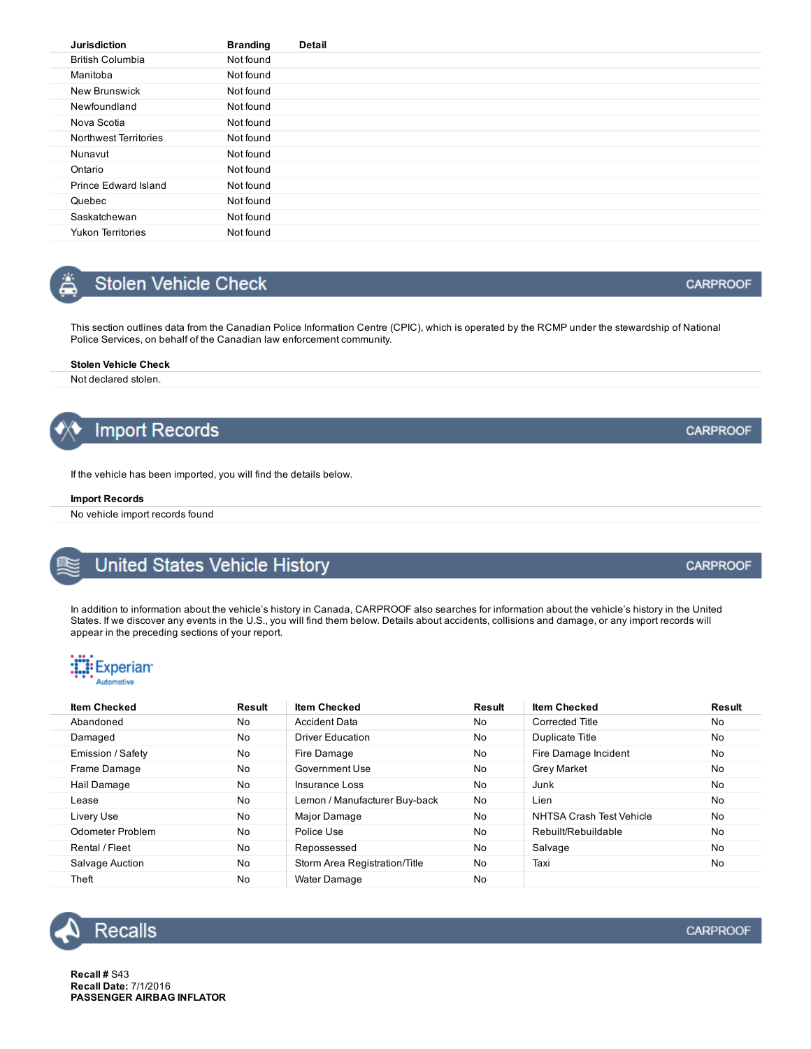| <b>Jurisdiction</b>      | <b>Branding</b> | <b>Detail</b> |
|--------------------------|-----------------|---------------|
| <b>British Columbia</b>  | Not found       |               |
| Manitoba                 | Not found       |               |
| <b>New Brunswick</b>     | Not found       |               |
| Newfoundland             | Not found       |               |
| Nova Scotia              | Not found       |               |
| Northwest Territories    | Not found       |               |
| Nunavut                  | Not found       |               |
| Ontario                  | Not found       |               |
| Prince Edward Island     | Not found       |               |
| Quebec                   | Not found       |               |
| Saskatchewan             | Not found       |               |
| <b>Yukon Territories</b> | Not found       |               |

## <span id="page-2-0"></span>Stolen Vehicle Check

This section outlines data from the Canadian Police Information Centre (CPIC), which is operated by the RCMP under the stewardship of National Police Services, on behalf of the Canadian law enforcement community.

### Stolen Vehicle Check

Not declared stolen.



If the vehicle has been imported, you will find the details below.

### Import Records

No vehicle import records found

<span id="page-2-1"></span>

### United States Vehicle History

In addition to information about the vehicle's history in Canada, CARPROOF also searches for information about the vehicle's history in the United States. If we discover any events in the U.S., you will find them below. Details about accidents, collisions and damage, or any import records will appear in the preceding sections of your report.



| <b>Item Checked</b> | Result | <b>Item Checked</b>           | Result | <b>Item Checked</b>      | <b>Result</b> |
|---------------------|--------|-------------------------------|--------|--------------------------|---------------|
| Abandoned           | No     | <b>Accident Data</b>          | No     | Corrected Title          | No            |
| Damaged             | No     | Driver Education              | No     | Duplicate Title          | No            |
| Emission / Safety   | No     | Fire Damage                   | No     | Fire Damage Incident     | <b>No</b>     |
| Frame Damage        | No     | Government Use                | No     | <b>Grey Market</b>       | No            |
| Hail Damage         | No     | Insurance Loss                | No     | Junk                     | No            |
| Lease               | No     | Lemon / Manufacturer Buy-back | No     | Lien                     | No            |
| Livery Use          | No     | Major Damage                  | No     | NHTSA Crash Test Vehicle | No            |
| Odometer Problem    | No     | Police Use                    | No     | Rebuilt/Rebuildable      | <b>No</b>     |
| Rental / Fleet      | No     | Repossessed                   | No     | Salvage                  | No            |
| Salvage Auction     | No     | Storm Area Registration/Title | No     | Taxi                     | No            |
| Theft               | No     | Water Damage                  | No     |                          |               |

<span id="page-2-2"></span>

**CARPROOF** 

Recall # S43 Recall Date: 7/1/2016 PASSENGER AIRBAG INFLATOR **CARPROOF** 

**CARPROOF** 

**CARPROOF**